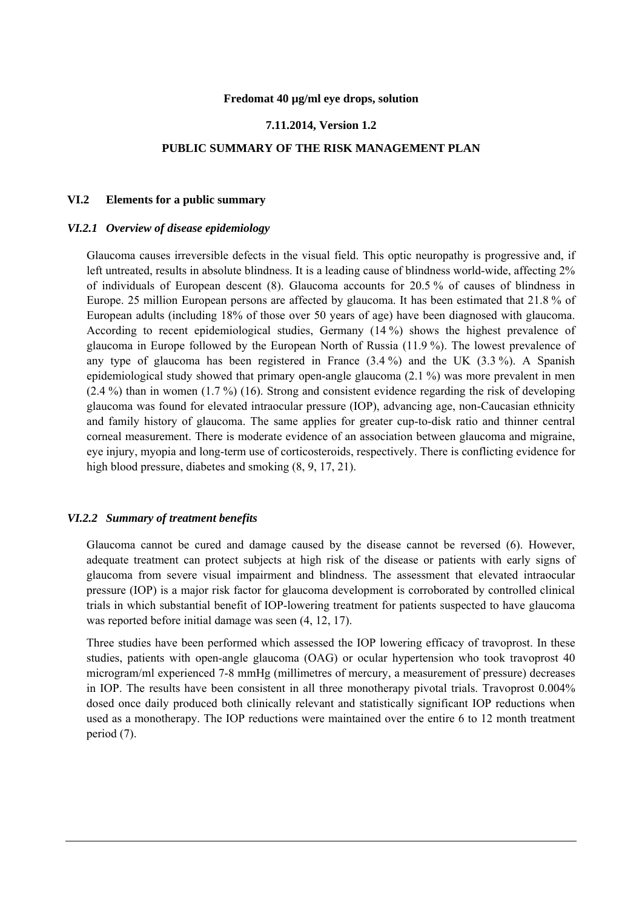#### **Fredomat 40 µg/ml eye drops, solution**

## **7.11.2014, Version 1.2**

## **PUBLIC SUMMARY OF THE RISK MANAGEMENT PLAN**

## **VI.2 Elements for a public summary**

#### *VI.2.1 Overview of disease epidemiology*

Glaucoma causes irreversible defects in the visual field. This optic neuropathy is progressive and, if left untreated, results in absolute blindness. It is a leading cause of blindness world-wide, affecting 2% of individuals of European descent (8). Glaucoma accounts for 20.5 % of causes of blindness in Europe. 25 million European persons are affected by glaucoma. It has been estimated that 21.8 % of European adults (including 18% of those over 50 years of age) have been diagnosed with glaucoma. According to recent epidemiological studies, Germany (14 %) shows the highest prevalence of glaucoma in Europe followed by the European North of Russia (11.9 %). The lowest prevalence of any type of glaucoma has been registered in France (3.4 %) and the UK (3.3 %). A Spanish epidemiological study showed that primary open-angle glaucoma (2.1 %) was more prevalent in men  $(2.4\%)$  than in women  $(1.7\%)$  (16). Strong and consistent evidence regarding the risk of developing glaucoma was found for elevated intraocular pressure (IOP), advancing age, non-Caucasian ethnicity and family history of glaucoma. The same applies for greater cup-to-disk ratio and thinner central corneal measurement. There is moderate evidence of an association between glaucoma and migraine, eye injury, myopia and long-term use of corticosteroids, respectively. There is conflicting evidence for high blood pressure, diabetes and smoking  $(8, 9, 17, 21)$ .

#### *VI.2.2 Summary of treatment benefits*

Glaucoma cannot be cured and damage caused by the disease cannot be reversed (6). However, adequate treatment can protect subjects at high risk of the disease or patients with early signs of glaucoma from severe visual impairment and blindness. The assessment that elevated intraocular pressure (IOP) is a major risk factor for glaucoma development is corroborated by controlled clinical trials in which substantial benefit of IOP-lowering treatment for patients suspected to have glaucoma was reported before initial damage was seen (4, 12, 17).

Three studies have been performed which assessed the IOP lowering efficacy of travoprost. In these studies, patients with open-angle glaucoma (OAG) or ocular hypertension who took travoprost 40 microgram/ml experienced 7-8 mmHg (millimetres of mercury, a measurement of pressure) decreases in IOP. The results have been consistent in all three monotherapy pivotal trials. Travoprost 0.004% dosed once daily produced both clinically relevant and statistically significant IOP reductions when used as a monotherapy. The IOP reductions were maintained over the entire 6 to 12 month treatment period (7).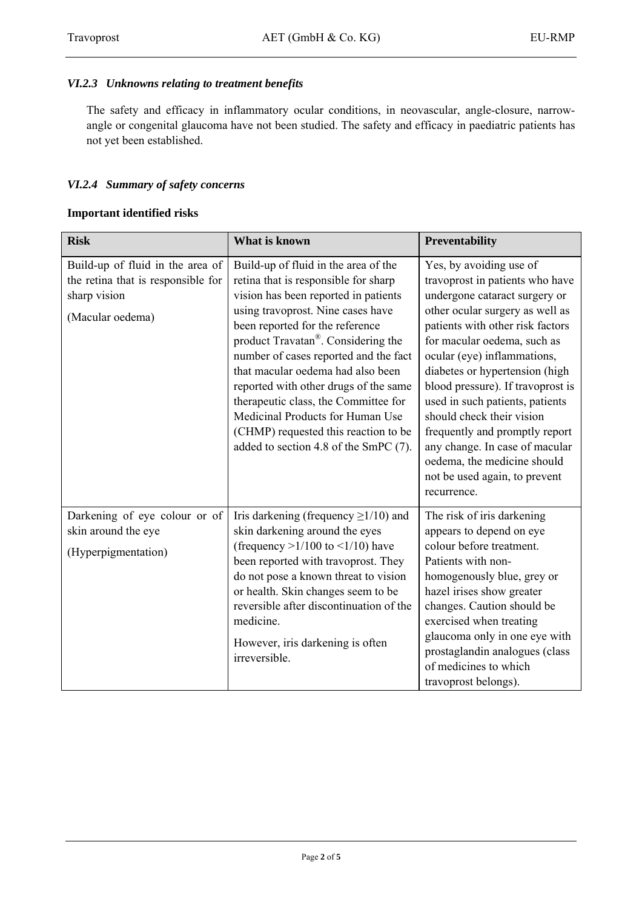## *VI.2.3 Unknowns relating to treatment benefits*

The safety and efficacy in inflammatory ocular conditions, in neovascular, angle-closure, narrowangle or congenital glaucoma have not been studied. The safety and efficacy in paediatric patients has not yet been established.

## *VI.2.4 Summary of safety concerns*

## **Important identified risks**

| <b>Risk</b>                                                                                                | What is known                                                                                                                                                                                                                                                                                                                                                                                                                                                                                                                       | Preventability                                                                                                                                                                                                                                                                                                                                                                                                                                                                                                             |
|------------------------------------------------------------------------------------------------------------|-------------------------------------------------------------------------------------------------------------------------------------------------------------------------------------------------------------------------------------------------------------------------------------------------------------------------------------------------------------------------------------------------------------------------------------------------------------------------------------------------------------------------------------|----------------------------------------------------------------------------------------------------------------------------------------------------------------------------------------------------------------------------------------------------------------------------------------------------------------------------------------------------------------------------------------------------------------------------------------------------------------------------------------------------------------------------|
| Build-up of fluid in the area of<br>the retina that is responsible for<br>sharp vision<br>(Macular oedema) | Build-up of fluid in the area of the<br>retina that is responsible for sharp<br>vision has been reported in patients<br>using travoprost. Nine cases have<br>been reported for the reference<br>product Travatan <sup>®</sup> . Considering the<br>number of cases reported and the fact<br>that macular oedema had also been<br>reported with other drugs of the same<br>therapeutic class, the Committee for<br>Medicinal Products for Human Use<br>(CHMP) requested this reaction to be<br>added to section 4.8 of the SmPC (7). | Yes, by avoiding use of<br>travoprost in patients who have<br>undergone cataract surgery or<br>other ocular surgery as well as<br>patients with other risk factors<br>for macular oedema, such as<br>ocular (eye) inflammations,<br>diabetes or hypertension (high<br>blood pressure). If travoprost is<br>used in such patients, patients<br>should check their vision<br>frequently and promptly report<br>any change. In case of macular<br>oedema, the medicine should<br>not be used again, to prevent<br>recurrence. |
| Darkening of eye colour or of<br>skin around the eye<br>(Hyperpigmentation)                                | Iris darkening (frequency $\geq$ 1/10) and<br>skin darkening around the eyes<br>(frequency $>1/100$ to $<1/10$ ) have<br>been reported with travoprost. They<br>do not pose a known threat to vision<br>or health. Skin changes seem to be<br>reversible after discontinuation of the<br>medicine.<br>However, iris darkening is often<br>irreversible.                                                                                                                                                                             | The risk of iris darkening<br>appears to depend on eye<br>colour before treatment.<br>Patients with non-<br>homogenously blue, grey or<br>hazel irises show greater<br>changes. Caution should be<br>exercised when treating<br>glaucoma only in one eye with<br>prostaglandin analogues (class<br>of medicines to which<br>travoprost belongs).                                                                                                                                                                           |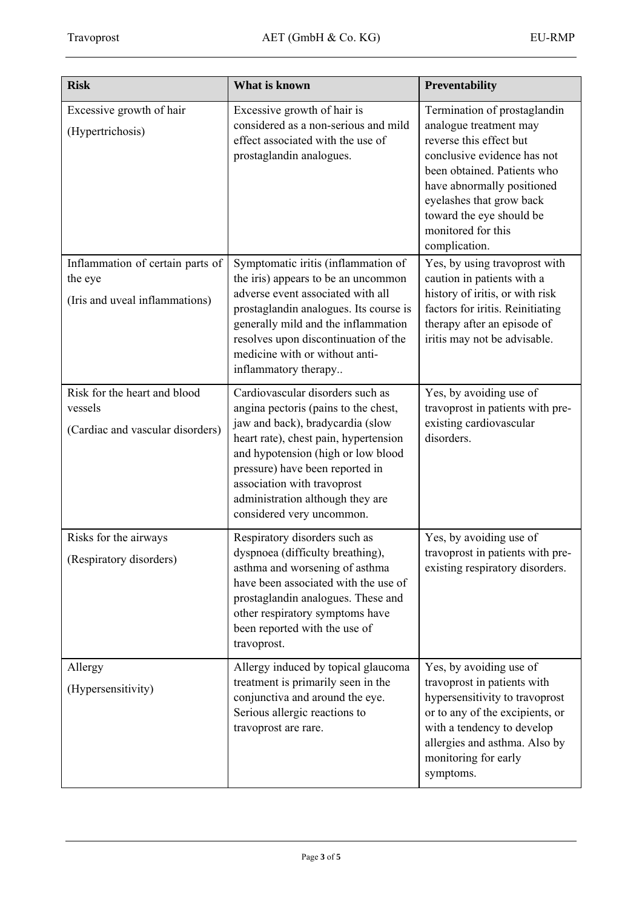| <b>Risk</b>                                                                   | What is known                                                                                                                                                                                                                                                                                                                  | Preventability                                                                                                                                                                                                                                                               |
|-------------------------------------------------------------------------------|--------------------------------------------------------------------------------------------------------------------------------------------------------------------------------------------------------------------------------------------------------------------------------------------------------------------------------|------------------------------------------------------------------------------------------------------------------------------------------------------------------------------------------------------------------------------------------------------------------------------|
| Excessive growth of hair<br>(Hypertrichosis)                                  | Excessive growth of hair is<br>considered as a non-serious and mild<br>effect associated with the use of<br>prostaglandin analogues.                                                                                                                                                                                           | Termination of prostaglandin<br>analogue treatment may<br>reverse this effect but<br>conclusive evidence has not<br>been obtained. Patients who<br>have abnormally positioned<br>eyelashes that grow back<br>toward the eye should be<br>monitored for this<br>complication. |
| Inflammation of certain parts of<br>the eye<br>(Iris and uveal inflammations) | Symptomatic iritis (inflammation of<br>the iris) appears to be an uncommon<br>adverse event associated with all<br>prostaglandin analogues. Its course is<br>generally mild and the inflammation<br>resolves upon discontinuation of the<br>medicine with or without anti-<br>inflammatory therapy                             | Yes, by using travoprost with<br>caution in patients with a<br>history of iritis, or with risk<br>factors for iritis. Reinitiating<br>therapy after an episode of<br>iritis may not be advisable.                                                                            |
| Risk for the heart and blood<br>vessels<br>(Cardiac and vascular disorders)   | Cardiovascular disorders such as<br>angina pectoris (pains to the chest,<br>jaw and back), bradycardia (slow<br>heart rate), chest pain, hypertension<br>and hypotension (high or low blood<br>pressure) have been reported in<br>association with travoprost<br>administration although they are<br>considered very uncommon. | Yes, by avoiding use of<br>travoprost in patients with pre-<br>existing cardiovascular<br>disorders.                                                                                                                                                                         |
| Risks for the airways<br>(Respiratory disorders)                              | Respiratory disorders such as<br>dyspnoea (difficulty breathing),<br>asthma and worsening of asthma<br>have been associated with the use of<br>prostaglandin analogues. These and<br>other respiratory symptoms have<br>been reported with the use of<br>travoprost.                                                           | Yes, by avoiding use of<br>travoprost in patients with pre-<br>existing respiratory disorders.                                                                                                                                                                               |
| Allergy<br>(Hypersensitivity)                                                 | Allergy induced by topical glaucoma<br>treatment is primarily seen in the<br>conjunctiva and around the eye.<br>Serious allergic reactions to<br>travoprost are rare.                                                                                                                                                          | Yes, by avoiding use of<br>travoprost in patients with<br>hypersensitivity to travoprost<br>or to any of the excipients, or<br>with a tendency to develop<br>allergies and asthma. Also by<br>monitoring for early<br>symptoms.                                              |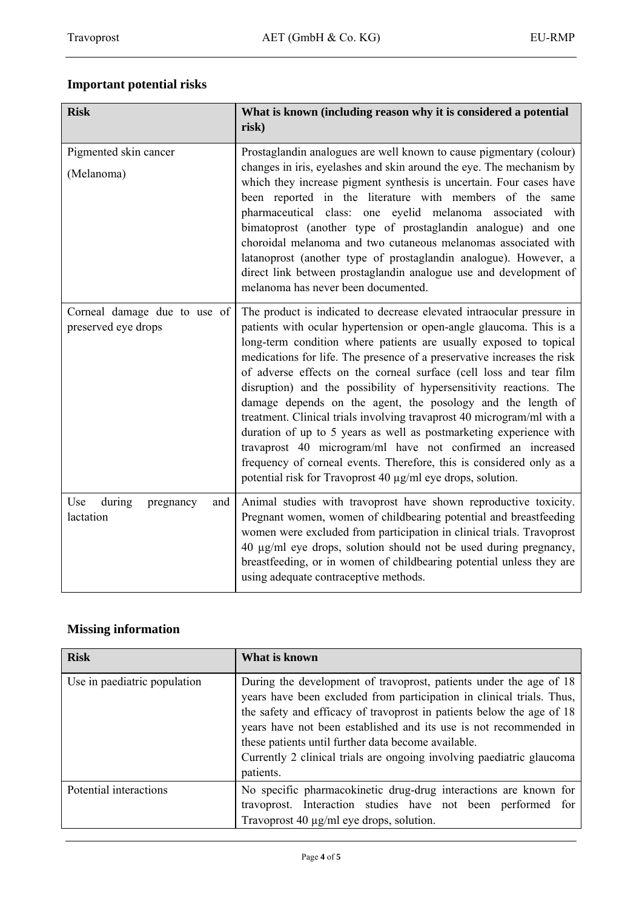# **Important potential risks**

| <b>Risk</b>                                         | What is known (including reason why it is considered a potential<br>risk)                                                                                                                                                                                                                                                                                                                                                                                                                                                                                                                                                                                                                                                                                                                                                                                    |
|-----------------------------------------------------|--------------------------------------------------------------------------------------------------------------------------------------------------------------------------------------------------------------------------------------------------------------------------------------------------------------------------------------------------------------------------------------------------------------------------------------------------------------------------------------------------------------------------------------------------------------------------------------------------------------------------------------------------------------------------------------------------------------------------------------------------------------------------------------------------------------------------------------------------------------|
| Pigmented skin cancer<br>(Melanoma)                 | Prostaglandin analogues are well known to cause pigmentary (colour)<br>changes in iris, eyelashes and skin around the eye. The mechanism by<br>which they increase pigment synthesis is uncertain. Four cases have<br>been reported in the literature with members of the same<br>pharmaceutical class: one eyelid melanoma associated with<br>bimatoprost (another type of prostaglandin analogue) and one<br>choroidal melanoma and two cutaneous melanomas associated with<br>latanoprost (another type of prostaglandin analogue). However, a<br>direct link between prostaglandin analogue use and development of<br>melanoma has never been documented.                                                                                                                                                                                                |
| Corneal damage due to use of<br>preserved eye drops | The product is indicated to decrease elevated intraocular pressure in<br>patients with ocular hypertension or open-angle glaucoma. This is a<br>long-term condition where patients are usually exposed to topical<br>medications for life. The presence of a preservative increases the risk<br>of adverse effects on the corneal surface (cell loss and tear film<br>disruption) and the possibility of hypersensitivity reactions. The<br>damage depends on the agent, the posology and the length of<br>treatment. Clinical trials involving travaprost 40 microgram/ml with a<br>duration of up to 5 years as well as postmarketing experience with<br>travaprost 40 microgram/ml have not confirmed an increased<br>frequency of corneal events. Therefore, this is considered only as a<br>potential risk for Travoprost 40 µg/ml eye drops, solution. |
| Use<br>during<br>pregnancy<br>and<br>lactation      | Animal studies with travoprost have shown reproductive toxicity.<br>Pregnant women, women of childbearing potential and breastfeeding<br>women were excluded from participation in clinical trials. Travoprost<br>40 µg/ml eye drops, solution should not be used during pregnancy,<br>breastfeeding, or in women of childbearing potential unless they are<br>using adequate contraceptive methods.                                                                                                                                                                                                                                                                                                                                                                                                                                                         |

## **Missing information**

| <b>Risk</b>                  | What is known                                                                                                                                                                                                                                                                                                                                                                                                                          |
|------------------------------|----------------------------------------------------------------------------------------------------------------------------------------------------------------------------------------------------------------------------------------------------------------------------------------------------------------------------------------------------------------------------------------------------------------------------------------|
| Use in paediatric population | During the development of travoprost, patients under the age of 18<br>years have been excluded from participation in clinical trials. Thus,<br>the safety and efficacy of travoprost in patients below the age of 18<br>years have not been established and its use is not recommended in<br>these patients until further data become available.<br>Currently 2 clinical trials are ongoing involving paediatric glaucoma<br>patients. |
| Potential interactions       | No specific pharmacokinetic drug-drug interactions are known for<br>travoprost. Interaction studies have not been performed for<br>Travoprost 40 $\mu$ g/ml eye drops, solution.                                                                                                                                                                                                                                                       |